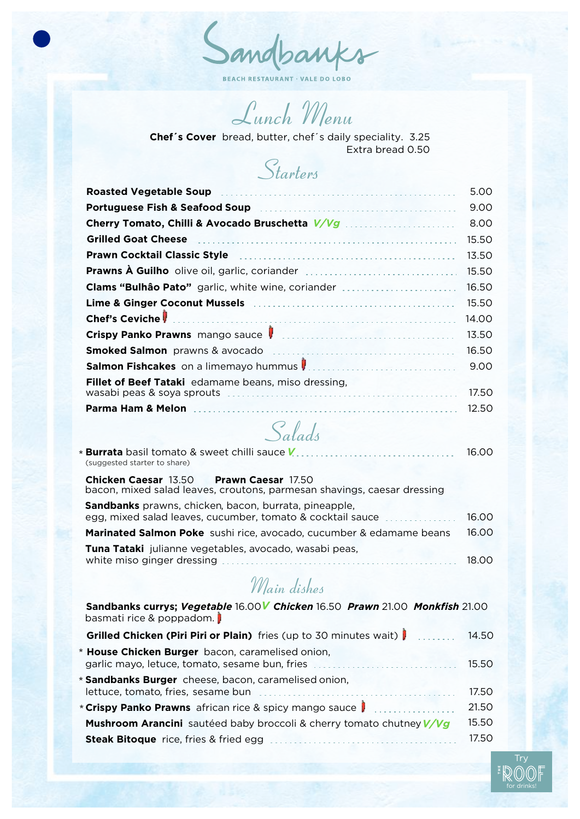Sandbanks

**BEACH RESTAURANT · VALE DO LOBO** 

*Lunch Menu*

Extra bread 0.50 **Chef´s Cover** bread, butter, chef´s daily speciality. 3.25

*Starters*

| <b>Roasted Vegetable Soup</b>                                                                                            | 5.00  |
|--------------------------------------------------------------------------------------------------------------------------|-------|
| Portuguese Fish & Seafood Soup <b>contract to the Contract of Active</b> Portuguese Fish & Seafood Soup <b>Fig. 2014</b> | 9.00  |
| Cherry Tomato, Chilli & Avocado Bruschetta V/Vg                                                                          | 8.00  |
| <b>Grilled Goat Cheese</b>                                                                                               | 15.50 |
| <b>Prawn Cocktail Classic Style</b>                                                                                      | 13.50 |
|                                                                                                                          | 15.50 |
| <b>Clams "Bulhão Pato"</b> garlic, white wine, coriander                                                                 | 16.50 |
|                                                                                                                          | 15.50 |
| <b>Chef's Ceviche</b>                                                                                                    | 14.00 |
|                                                                                                                          | 13.50 |
| <b>Smoked Salmon</b> prawns & avocado                                                                                    | 16.50 |
| Salmon Fishcakes on a limemayo hummus                                                                                    | 9.00  |
| <b>Fillet of Beef Tataki</b> edamame beans, miso dressing,<br>wasabi peas & soya sprouts                                 | 17.50 |
| Parma Ham & Melon                                                                                                        | 12.50 |

## *Salads*

| (suggested starter to share)                                                                                              | 16.00  |
|---------------------------------------------------------------------------------------------------------------------------|--------|
| <b>Chicken Caesar 13.50 Prawn Caesar 17.50</b><br>bacon, mixed salad leaves, croutons, parmesan shavings, caesar dressing |        |
| Sandbanks prawns, chicken, bacon, burrata, pineapple,<br>egg, mixed salad leaves, cucumber, tomato & cocktail sauce       | 16.00  |
| Marinated Salmon Poke sushi rice, avocado, cucumber & edamame beans                                                       | 16.00  |
| Tuna Tataki julianne vegetables, avocado, wasabi peas,<br>white miso ginger dressing                                      | 18 O.O |

## *Main dishes*

| Sandbanks currys; Vegetable 16.00V Chicken 16.50 Prawn 21.00 Monkfish 21.00<br>basmati rice & poppadom. |       |
|---------------------------------------------------------------------------------------------------------|-------|
| Grilled Chicken (Piri Piri or Plain) fries (up to 30 minutes wait)   14.50                              |       |
| * House Chicken Burger bacon, caramelised onion,<br>garlic mayo, letuce, tomato, sesame bun, fries      | 15.50 |
| * Sandbanks Burger cheese, bacon, caramelised onion,                                                    | 17.50 |
| * Crispy Panko Prawns african rice & spicy mango sauce   www.com                                        | 21.50 |
| Mushroom Arancini sautéed baby broccoli & cherry tomato chutney V/Vg                                    | 15.50 |
|                                                                                                         | 17.50 |